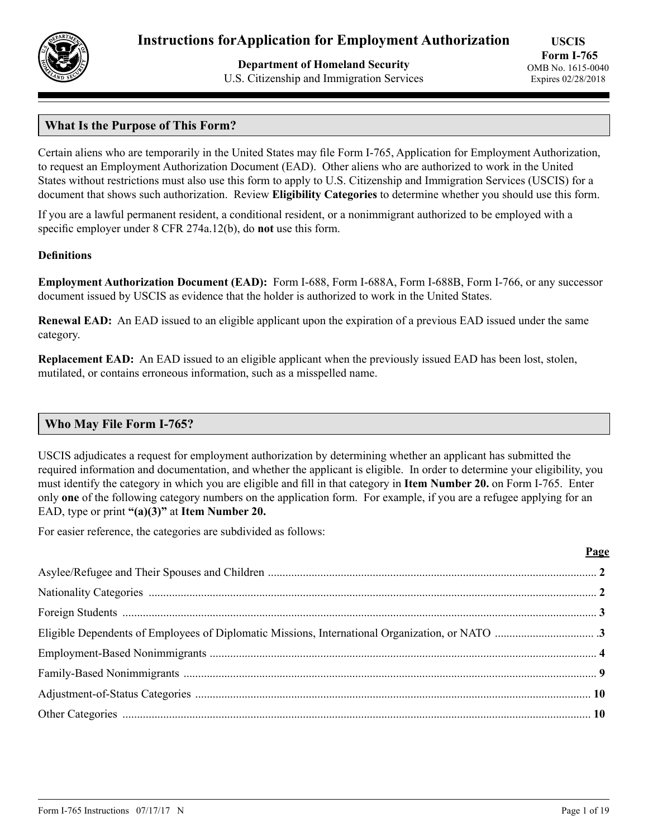

**Department of Homeland Security** U.S. Citizenship and Immigration Services

# **What Is the Purpose of This Form?**

Certain aliens who are temporarily in the United States may file Form I-765, Application for Employment Authorization, to request an Employment Authorization Document (EAD). Other aliens who are authorized to work in the United States without restrictions must also use this form to apply to U.S. Citizenship and Immigration Services (USCIS) for a document that shows such authorization. Review **Eligibility Categories** to determine whether you should use this form.

If you are a lawful permanent resident, a conditional resident, or a nonimmigrant authorized to be employed with a specific employer under 8 CFR 274a.12(b), do **not** use this form.

### **Definitions**

**Employment Authorization Document (EAD):** Form I-688, Form I-688A, Form I-688B, Form I-766, or any successor document issued by USCIS as evidence that the holder is authorized to work in the United States.

**Renewal EAD:** An EAD issued to an eligible applicant upon the expiration of a previous EAD issued under the same category.

**Replacement EAD:** An EAD issued to an eligible applicant when the previously issued EAD has been lost, stolen, mutilated, or contains erroneous information, such as a misspelled name.

### **Who May File Form I-765?**

USCIS adjudicates a request for employment authorization by determining whether an applicant has submitted the required information and documentation, and whether the applicant is eligible. In order to determine your eligibility, you must identify the category in which you are eligible and fill in that category in **Item Number 20.** on Form I-765. Enter only **one** of the following category numbers on the application form. For example, if you are a refugee applying for an EAD, type or print **"(a)(3)"** at **Item Number 20.**

For easier reference, the categories are subdivided as follows:

| Page |
|------|
|      |
|      |
|      |
|      |
|      |
|      |
|      |
|      |
|      |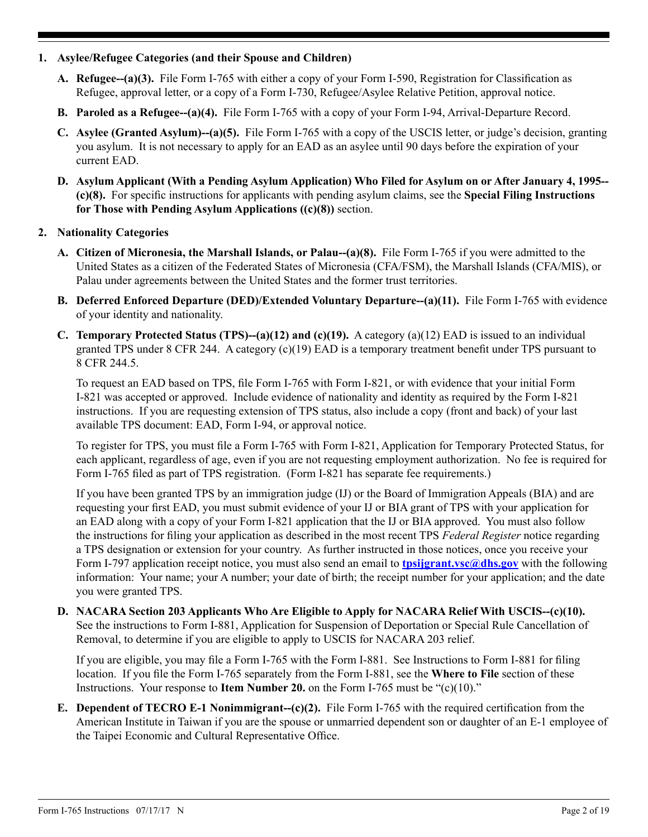## **1. Asylee/Refugee Categories (and their Spouse and Children)**

- **A. Refugee--(a)(3).** File Form I-765 with either a copy of your Form I-590, Registration for Classification as Refugee, approval letter, or a copy of a Form I-730, Refugee/Asylee Relative Petition, approval notice.
- **B. Paroled as a Refugee--(a)(4).** File Form I-765 with a copy of your Form I-94, Arrival-Departure Record.
- **C. Asylee (Granted Asylum)--(a)(5).** File Form I-765 with a copy of the USCIS letter, or judge's decision, granting you asylum. It is not necessary to apply for an EAD as an asylee until 90 days before the expiration of your current EAD.
- **D. Asylum Applicant (With a Pending Asylum Application) Who Filed for Asylum on or After January 4, 1995-- (c)(8).** For specific instructions for applicants with pending asylum claims, see the **Special Filing Instructions for Those with Pending Asylum Applications ((c)(8))** section.

## **2. Nationality Categories**

- **A. Citizen of Micronesia, the Marshall Islands, or Palau--(a)(8).** File Form I-765 if you were admitted to the United States as a citizen of the Federated States of Micronesia (CFA/FSM), the Marshall Islands (CFA/MIS), or Palau under agreements between the United States and the former trust territories.
- **B. Deferred Enforced Departure (DED)/Extended Voluntary Departure--(a)(11).** File Form I-765 with evidence of your identity and nationality.
- **C. Temporary Protected Status (TPS)--(a)(12) and (c)(19).** A category (a)(12) EAD is issued to an individual granted TPS under 8 CFR 244. A category (c)(19) EAD is a temporary treatment benefit under TPS pursuant to 8 CFR 244.5.

To request an EAD based on TPS, file Form I-765 with Form I-821, or with evidence that your initial Form I-821 was accepted or approved. Include evidence of nationality and identity as required by the Form I-821 instructions. If you are requesting extension of TPS status, also include a copy (front and back) of your last available TPS document: EAD, Form I-94, or approval notice.

To register for TPS, you must file a Form I-765 with Form I-821, Application for Temporary Protected Status, for each applicant, regardless of age, even if you are not requesting employment authorization. No fee is required for Form I-765 filed as part of TPS registration. (Form I-821 has separate fee requirements.)

If you have been granted TPS by an immigration judge (IJ) or the Board of Immigration Appeals (BIA) and are requesting your first EAD, you must submit evidence of your IJ or BIA grant of TPS with your application for an EAD along with a copy of your Form I-821 application that the IJ or BIA approved. You must also follow the instructions for filing your application as described in the most recent TPS *Federal Register* notice regarding a TPS designation or extension for your country. As further instructed in those notices, once you receive your Form I-797 application receipt notice, you must also send an email to **the** *the siggrant.vsc@dhs.gov* with the following information: Your name; your A number; your date of birth; the receipt number for your application; and the date you were granted TPS.

**D. NACARA Section 203 Applicants Who Are Eligible to Apply for NACARA Relief With USCIS--(c)(10).** See the instructions to Form I-881, Application for Suspension of Deportation or Special Rule Cancellation of Removal, to determine if you are eligible to apply to USCIS for NACARA 203 relief.

If you are eligible, you may file a Form I-765 with the Form I-881. See Instructions to Form I-881 for filing location. If you file the Form I-765 separately from the Form I-881, see the **Where to File** section of these Instructions. Your response to **Item Number 20.** on the Form I-765 must be "(c)(10)."

**E. Dependent of TECRO E-1 Nonimmigrant--(c)(2).** File Form I-765 with the required certification from the American Institute in Taiwan if you are the spouse or unmarried dependent son or daughter of an E-1 employee of the Taipei Economic and Cultural Representative Office.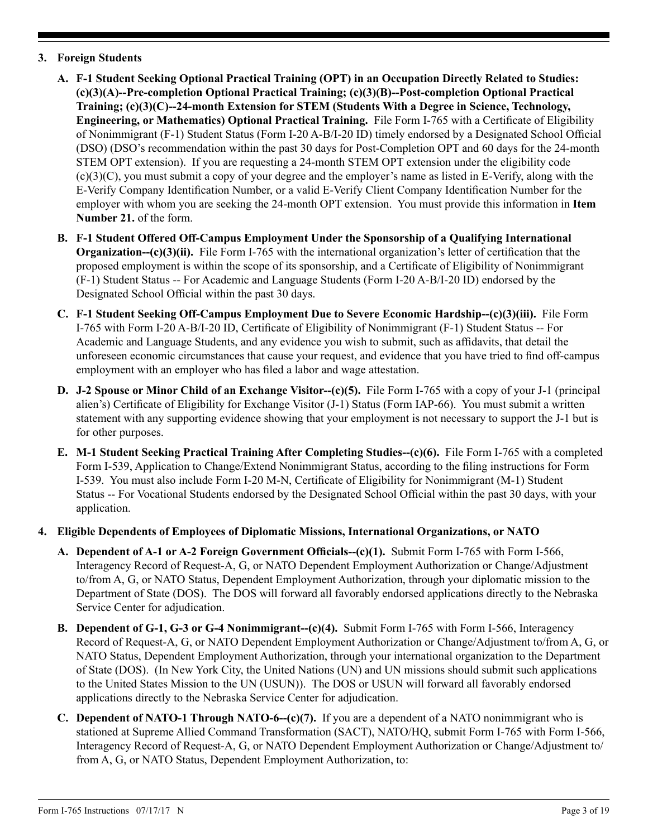# **3. Foreign Students**

- **A. F-1 Student Seeking Optional Practical Training (OPT) in an Occupation Directly Related to Studies: (c)(3)(A)--Pre-completion Optional Practical Training; (c)(3)(B)--Post-completion Optional Practical Training; (c)(3)(C)--24-month Extension for STEM (Students With a Degree in Science, Technology, Engineering, or Mathematics) Optional Practical Training.** File Form I-765 with a Certificate of Eligibility of Nonimmigrant (F-1) Student Status (Form I-20 A-B/I-20 ID) timely endorsed by a Designated School Official (DSO) (DSO's recommendation within the past 30 days for Post-Completion OPT and 60 days for the 24-month STEM OPT extension). If you are requesting a 24-month STEM OPT extension under the eligibility code (c)(3)(C), you must submit a copy of your degree and the employer's name as listed in E-Verify, along with the E-Verify Company Identification Number, or a valid E-Verify Client Company Identification Number for the employer with whom you are seeking the 24-month OPT extension. You must provide this information in **Item Number 21.** of the form.
- **B. F-1 Student Offered Off-Campus Employment Under the Sponsorship of a Qualifying International Organization--(c)(3)(ii).** File Form I-765 with the international organization's letter of certification that the proposed employment is within the scope of its sponsorship, and a Certificate of Eligibility of Nonimmigrant (F-1) Student Status -- For Academic and Language Students (Form I-20 A-B/I-20 ID) endorsed by the Designated School Official within the past 30 days.
- **C. F-1 Student Seeking Off-Campus Employment Due to Severe Economic Hardship--(c)(3)(iii).** File Form I-765 with Form I-20 A-B/I-20 ID, Certificate of Eligibility of Nonimmigrant (F-1) Student Status -- For Academic and Language Students, and any evidence you wish to submit, such as affidavits, that detail the unforeseen economic circumstances that cause your request, and evidence that you have tried to find off-campus employment with an employer who has filed a labor and wage attestation.
- **D. J-2 Spouse or Minor Child of an Exchange Visitor--(c)(5).** File Form I-765 with a copy of your J-1 (principal alien's) Certificate of Eligibility for Exchange Visitor (J-1) Status (Form IAP-66). You must submit a written statement with any supporting evidence showing that your employment is not necessary to support the J-1 but is for other purposes.
- **E. M-1 Student Seeking Practical Training After Completing Studies--(c)(6).** File Form I-765 with a completed Form I-539, Application to Change/Extend Nonimmigrant Status, according to the filing instructions for Form I-539. You must also include Form I-20 M-N, Certificate of Eligibility for Nonimmigrant (M-1) Student Status -- For Vocational Students endorsed by the Designated School Official within the past 30 days, with your application.
- **4. Eligible Dependents of Employees of Diplomatic Missions, International Organizations, or NATO**
	- **A. Dependent of A-1 or A-2 Foreign Government Officials--(c)(1).** Submit Form I-765 with Form I-566, Interagency Record of Request-A, G, or NATO Dependent Employment Authorization or Change/Adjustment to/from A, G, or NATO Status, Dependent Employment Authorization, through your diplomatic mission to the Department of State (DOS). The DOS will forward all favorably endorsed applications directly to the Nebraska Service Center for adjudication.
	- **B. Dependent of G-1, G-3 or G-4 Nonimmigrant--(c)(4).** Submit Form I-765 with Form I-566, Interagency Record of Request-A, G, or NATO Dependent Employment Authorization or Change/Adjustment to/from A, G, or NATO Status, Dependent Employment Authorization, through your international organization to the Department of State (DOS). (In New York City, the United Nations (UN) and UN missions should submit such applications to the United States Mission to the UN (USUN)). The DOS or USUN will forward all favorably endorsed applications directly to the Nebraska Service Center for adjudication.
	- **C. Dependent of NATO-1 Through NATO-6--(c)(7).** If you are a dependent of a NATO nonimmigrant who is stationed at Supreme Allied Command Transformation (SACT), NATO/HQ, submit Form I-765 with Form I-566, Interagency Record of Request-A, G, or NATO Dependent Employment Authorization or Change/Adjustment to/ from A, G, or NATO Status, Dependent Employment Authorization, to: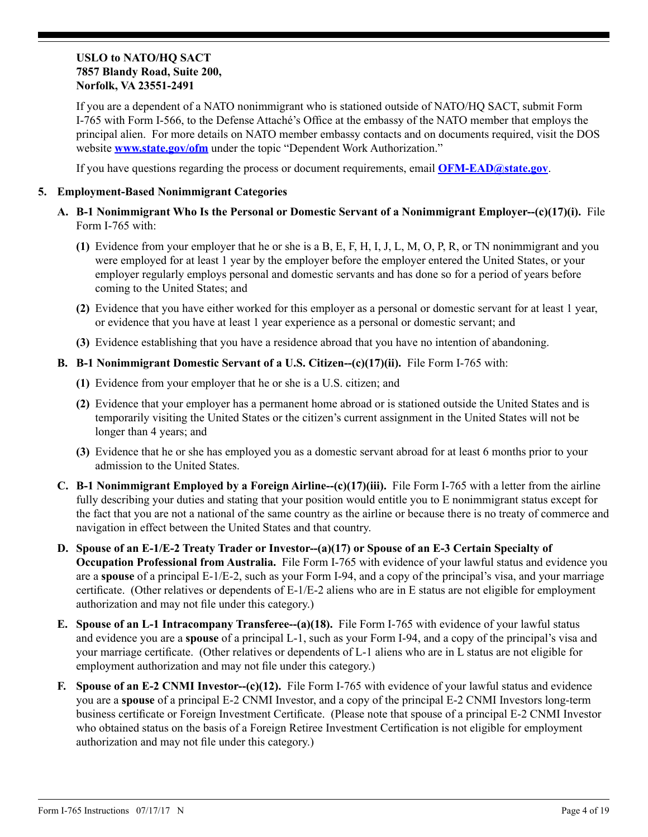### **USLO to NATO/HQ SACT 7857 Blandy Road, Suite 200, Norfolk, VA 23551-2491**

If you are a dependent of a NATO nonimmigrant who is stationed outside of NATO/HQ SACT, submit Form I-765 with Form I-566, to the Defense Attaché's Office at the embassy of the NATO member that employs the principal alien. For more details on NATO member embassy contacts and on documents required, visit the DOS website **[www.state.gov/ofm](http://www.state.gov/ofm)** under the topic "Dependent Work Authorization."

If you have questions regarding the process or document requirements, email **[OFM-EAD@state.gov](mailto:OFM-EAD%40state.gov?subject=)**.

### **5. Employment-Based Nonimmigrant Categories**

- **A. B-1 Nonimmigrant Who Is the Personal or Domestic Servant of a Nonimmigrant Employer--(c)(17)(i).** File Form I-765 with:
	- **(1)** Evidence from your employer that he or she is a B, E, F, H, I, J, L, M, O, P, R, or TN nonimmigrant and you were employed for at least 1 year by the employer before the employer entered the United States, or your employer regularly employs personal and domestic servants and has done so for a period of years before coming to the United States; and
	- **(2)** Evidence that you have either worked for this employer as a personal or domestic servant for at least 1 year, or evidence that you have at least 1 year experience as a personal or domestic servant; and
	- **(3)** Evidence establishing that you have a residence abroad that you have no intention of abandoning.
- **B. B-1 Nonimmigrant Domestic Servant of a U.S. Citizen--(c)(17)(ii).** File Form I-765 with:
	- **(1)** Evidence from your employer that he or she is a U.S. citizen; and
	- **(2)** Evidence that your employer has a permanent home abroad or is stationed outside the United States and is temporarily visiting the United States or the citizen's current assignment in the United States will not be longer than 4 years; and
	- **(3)** Evidence that he or she has employed you as a domestic servant abroad for at least 6 months prior to your admission to the United States.
- **C. B-1 Nonimmigrant Employed by a Foreign Airline--(c)(17)(iii).** File Form I-765 with a letter from the airline fully describing your duties and stating that your position would entitle you to E nonimmigrant status except for the fact that you are not a national of the same country as the airline or because there is no treaty of commerce and navigation in effect between the United States and that country.
- **D. Spouse of an E-1/E-2 Treaty Trader or Investor--(a)(17) or Spouse of an E-3 Certain Specialty of Occupation Professional from Australia.** File Form I-765 with evidence of your lawful status and evidence you are a **spouse** of a principal E-1/E-2, such as your Form I-94, and a copy of the principal's visa, and your marriage certificate. (Other relatives or dependents of E-1/E-2 aliens who are in E status are not eligible for employment authorization and may not file under this category.)
- **E. Spouse of an L-1 Intracompany Transferee--(a)(18).** File Form I-765 with evidence of your lawful status and evidence you are a **spouse** of a principal L-1, such as your Form I-94, and a copy of the principal's visa and your marriage certificate. (Other relatives or dependents of L-1 aliens who are in L status are not eligible for employment authorization and may not file under this category.)
- **F. Spouse of an E-2 CNMI Investor--(c)(12).** File Form I-765 with evidence of your lawful status and evidence you are a **spouse** of a principal E-2 CNMI Investor, and a copy of the principal E-2 CNMI Investors long-term business certificate or Foreign Investment Certificate. (Please note that spouse of a principal E-2 CNMI Investor who obtained status on the basis of a Foreign Retiree Investment Certification is not eligible for employment authorization and may not file under this category.)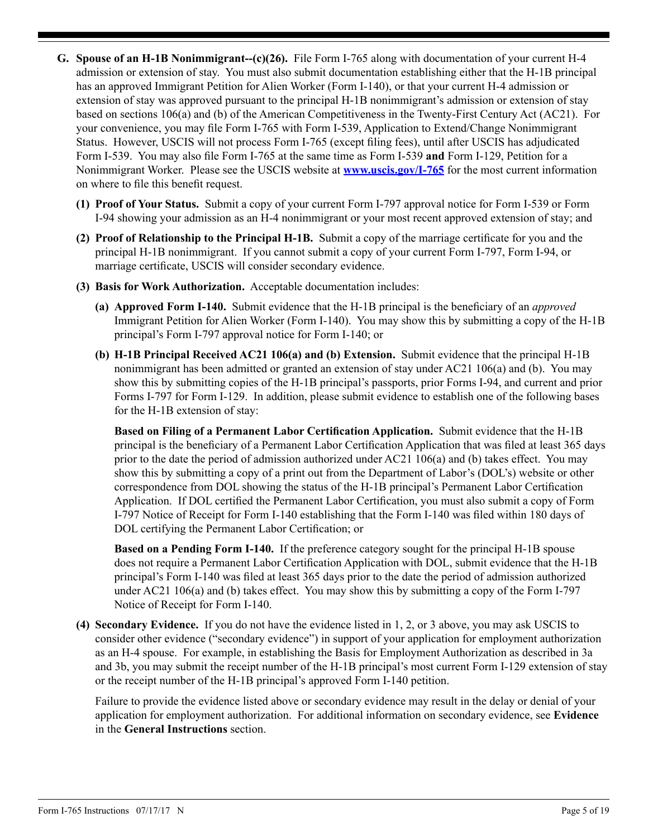- **G. Spouse of an H-1B Nonimmigrant--(c)(26).** File Form I-765 along with documentation of your current H-4 admission or extension of stay. You must also submit documentation establishing either that the H-1B principal has an approved Immigrant Petition for Alien Worker (Form I-140), or that your current H-4 admission or extension of stay was approved pursuant to the principal H-1B nonimmigrant's admission or extension of stay based on sections 106(a) and (b) of the American Competitiveness in the Twenty-First Century Act (AC21). For your convenience, you may file Form I-765 with Form I-539, Application to Extend/Change Nonimmigrant Status. However, USCIS will not process Form I-765 (except filing fees), until after USCIS has adjudicated Form I-539. You may also file Form I-765 at the same time as Form I-539 **and** Form I-129, Petition for a Nonimmigrant Worker. Please see the USCIS website at **www.uscis.gov/I-765** for the most current information on where to file this benefit request.
	- **(1) Proof of Your Status.** Submit a copy of your current Form I-797 approval notice for Form I-539 or Form I-94 showing your admission as an H-4 nonimmigrant or your most recent approved extension of stay; and
	- **(2) Proof of Relationship to the Principal H-1B.** Submit a copy of the marriage certificate for you and the principal H-1B nonimmigrant. If you cannot submit a copy of your current Form I-797, Form I-94, or marriage certificate, USCIS will consider secondary evidence.
	- **(3) Basis for Work Authorization.** Acceptable documentation includes:
		- **(a) Approved Form I-140.** Submit evidence that the H-1B principal is the beneficiary of an *approved* Immigrant Petition for Alien Worker (Form I-140). You may show this by submitting a copy of the H-1B principal's Form I-797 approval notice for Form I-140; or
		- **(b) H-1B Principal Received AC21 106(a) and (b) Extension.** Submit evidence that the principal H-1B nonimmigrant has been admitted or granted an extension of stay under AC21 106(a) and (b). You may show this by submitting copies of the H-1B principal's passports, prior Forms I-94, and current and prior Forms I-797 for Form I-129. In addition, please submit evidence to establish one of the following bases for the H-1B extension of stay:

**Based on Filing of a Permanent Labor Certification Application.** Submit evidence that the H-1B principal is the beneficiary of a Permanent Labor Certification Application that was filed at least 365 days prior to the date the period of admission authorized under AC21 106(a) and (b) takes effect. You may show this by submitting a copy of a print out from the Department of Labor's (DOL's) website or other correspondence from DOL showing the status of the H-1B principal's Permanent Labor Certification Application. If DOL certified the Permanent Labor Certification, you must also submit a copy of Form I-797 Notice of Receipt for Form I-140 establishing that the Form I-140 was filed within 180 days of DOL certifying the Permanent Labor Certification; or

**Based on a Pending Form I-140.** If the preference category sought for the principal H-1B spouse does not require a Permanent Labor Certification Application with DOL, submit evidence that the H-1B principal's Form I-140 was filed at least 365 days prior to the date the period of admission authorized under AC21 106(a) and (b) takes effect. You may show this by submitting a copy of the Form I-797 Notice of Receipt for Form I-140.

**(4) Secondary Evidence.** If you do not have the evidence listed in 1, 2, or 3 above, you may ask USCIS to consider other evidence ("secondary evidence") in support of your application for employment authorization as an H-4 spouse. For example, in establishing the Basis for Employment Authorization as described in 3a and 3b, you may submit the receipt number of the H-1B principal's most current Form I-129 extension of stay or the receipt number of the H-1B principal's approved Form I-140 petition.

Failure to provide the evidence listed above or secondary evidence may result in the delay or denial of your application for employment authorization. For additional information on secondary evidence, see **Evidence** in the **General Instructions** section.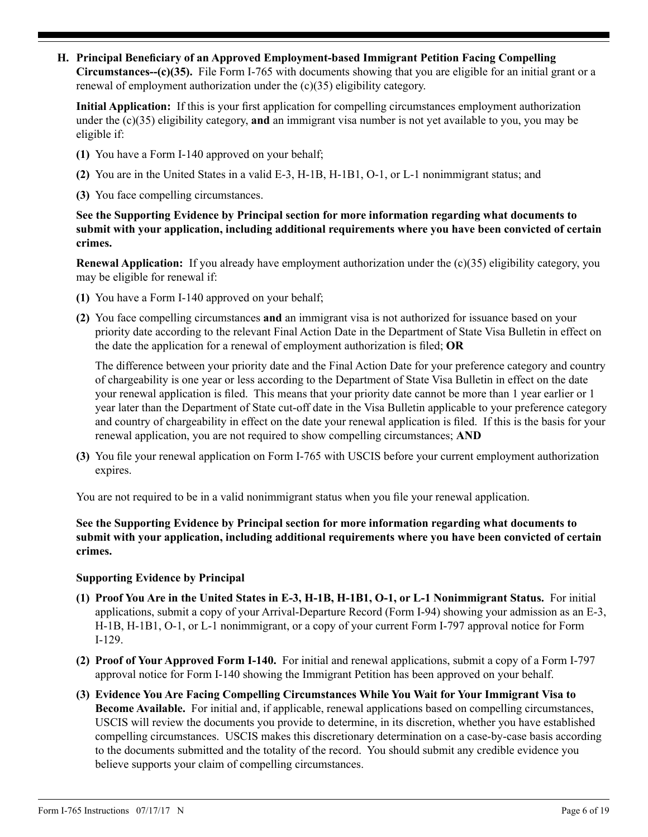**H. Principal Beneficiary of an Approved Employment-based Immigrant Petition Facing Compelling Circumstances--(c)(35).** File Form I-765 with documents showing that you are eligible for an initial grant or a renewal of employment authorization under the (c)(35) eligibility category.

**Initial Application:** If this is your first application for compelling circumstances employment authorization under the (c)(35) eligibility category, **and** an immigrant visa number is not yet available to you, you may be eligible if:

- **(1)** You have a Form I-140 approved on your behalf;
- **(2)** You are in the United States in a valid E-3, H-1B, H-1B1, O-1, or L-1 nonimmigrant status; and
- **(3)** You face compelling circumstances.

**See the Supporting Evidence by Principal section for more information regarding what documents to submit with your application, including additional requirements where you have been convicted of certain crimes.**

**Renewal Application:** If you already have employment authorization under the (c)(35) eligibility category, you may be eligible for renewal if:

- **(1)** You have a Form I-140 approved on your behalf;
- **(2)** You face compelling circumstances **and** an immigrant visa is not authorized for issuance based on your priority date according to the relevant Final Action Date in the Department of State Visa Bulletin in effect on the date the application for a renewal of employment authorization is filed; **OR**

The difference between your priority date and the Final Action Date for your preference category and country of chargeability is one year or less according to the Department of State Visa Bulletin in effect on the date your renewal application is filed. This means that your priority date cannot be more than 1 year earlier or 1 year later than the Department of State cut-off date in the Visa Bulletin applicable to your preference category and country of chargeability in effect on the date your renewal application is filed. If this is the basis for your renewal application, you are not required to show compelling circumstances; **AND**

**(3)** You file your renewal application on Form I-765 with USCIS before your current employment authorization expires.

You are not required to be in a valid nonimmigrant status when you file your renewal application.

**See the Supporting Evidence by Principal section for more information regarding what documents to submit with your application, including additional requirements where you have been convicted of certain crimes.**

### **Supporting Evidence by Principal**

- **(1) Proof You Are in the United States in E-3, H-1B, H-1B1, O-1, or L-1 Nonimmigrant Status.** For initial applications, submit a copy of your Arrival-Departure Record (Form I-94) showing your admission as an E-3, H-1B, H-1B1, O-1, or L-1 nonimmigrant, or a copy of your current Form I-797 approval notice for Form I-129.
- **(2) Proof of Your Approved Form I-140.** For initial and renewal applications, submit a copy of a Form I-797 approval notice for Form I-140 showing the Immigrant Petition has been approved on your behalf.
- **(3) Evidence You Are Facing Compelling Circumstances While You Wait for Your Immigrant Visa to Become Available.** For initial and, if applicable, renewal applications based on compelling circumstances, USCIS will review the documents you provide to determine, in its discretion, whether you have established compelling circumstances. USCIS makes this discretionary determination on a case-by-case basis according to the documents submitted and the totality of the record. You should submit any credible evidence you believe supports your claim of compelling circumstances.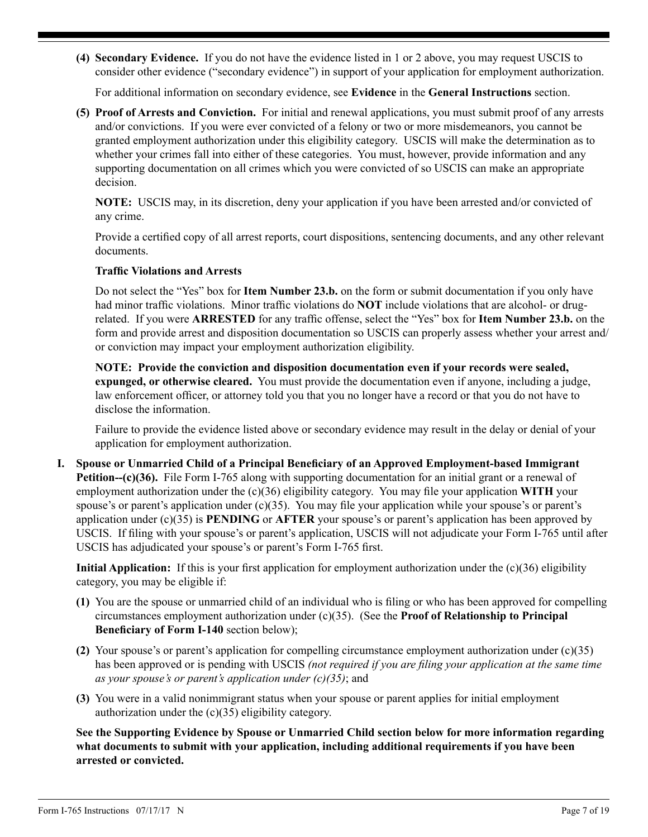**(4) Secondary Evidence.** If you do not have the evidence listed in 1 or 2 above, you may request USCIS to consider other evidence ("secondary evidence") in support of your application for employment authorization.

For additional information on secondary evidence, see **Evidence** in the **General Instructions** section.

**(5) Proof of Arrests and Conviction.** For initial and renewal applications, you must submit proof of any arrests and/or convictions. If you were ever convicted of a felony or two or more misdemeanors, you cannot be granted employment authorization under this eligibility category. USCIS will make the determination as to whether your crimes fall into either of these categories. You must, however, provide information and any supporting documentation on all crimes which you were convicted of so USCIS can make an appropriate decision.

**NOTE:** USCIS may, in its discretion, deny your application if you have been arrested and/or convicted of any crime.

Provide a certified copy of all arrest reports, court dispositions, sentencing documents, and any other relevant documents.

## **Traffic Violations and Arrests**

Do not select the "Yes" box for **Item Number 23.b.** on the form or submit documentation if you only have had minor traffic violations. Minor traffic violations do **NOT** include violations that are alcohol- or drugrelated. If you were **ARRESTED** for any traffic offense, select the "Yes" box for **Item Number 23.b.** on the form and provide arrest and disposition documentation so USCIS can properly assess whether your arrest and/ or conviction may impact your employment authorization eligibility.

**NOTE: Provide the conviction and disposition documentation even if your records were sealed, expunged, or otherwise cleared.** You must provide the documentation even if anyone, including a judge, law enforcement officer, or attorney told you that you no longer have a record or that you do not have to disclose the information.

Failure to provide the evidence listed above or secondary evidence may result in the delay or denial of your application for employment authorization.

**I. Spouse or Unmarried Child of a Principal Beneficiary of an Approved Employment-based Immigrant Petition--(c)(36).** File Form I-765 along with supporting documentation for an initial grant or a renewal of employment authorization under the (c)(36) eligibility category. You may file your application **WITH** your spouse's or parent's application under (c)(35). You may file your application while your spouse's or parent's application under (c)(35) is **PENDING** or **AFTER** your spouse's or parent's application has been approved by USCIS. If filing with your spouse's or parent's application, USCIS will not adjudicate your Form I-765 until after USCIS has adjudicated your spouse's or parent's Form I-765 first.

**Initial Application:** If this is your first application for employment authorization under the (c)(36) eligibility category, you may be eligible if:

- **(1)** You are the spouse or unmarried child of an individual who is filing or who has been approved for compelling circumstances employment authorization under (c)(35). (See the **Proof of Relationship to Principal Beneficiary of Form I-140** section below);
- **(2)** Your spouse's or parent's application for compelling circumstance employment authorization under (c)(35) has been approved or is pending with USCIS *(not required if you are filing your application at the same time as your spouse's or parent's application under (c)(35)*; and
- **(3)** You were in a valid nonimmigrant status when your spouse or parent applies for initial employment authorization under the (c)(35) eligibility category.

**See the Supporting Evidence by Spouse or Unmarried Child section below for more information regarding what documents to submit with your application, including additional requirements if you have been arrested or convicted.**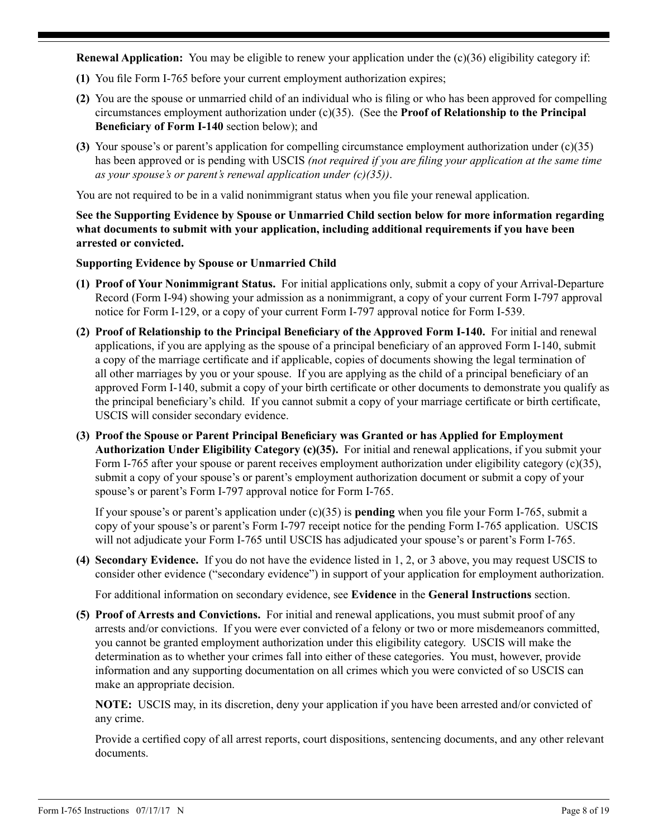**Renewal Application:** You may be eligible to renew your application under the (c)(36) eligibility category if:

- **(1)** You file Form I-765 before your current employment authorization expires;
- **(2)** You are the spouse or unmarried child of an individual who is filing or who has been approved for compelling circumstances employment authorization under (c)(35). (See the **Proof of Relationship to the Principal Beneficiary of Form I-140** section below); and
- **(3)** Your spouse's or parent's application for compelling circumstance employment authorization under (c)(35) has been approved or is pending with USCIS *(not required if you are filing your application at the same time as your spouse's or parent's renewal application under (c)(35))*.

You are not required to be in a valid nonimmigrant status when you file your renewal application.

**See the Supporting Evidence by Spouse or Unmarried Child section below for more information regarding what documents to submit with your application, including additional requirements if you have been arrested or convicted.**

**Supporting Evidence by Spouse or Unmarried Child**

- **(1) Proof of Your Nonimmigrant Status.** For initial applications only, submit a copy of your Arrival-Departure Record (Form I-94) showing your admission as a nonimmigrant, a copy of your current Form I-797 approval notice for Form I-129, or a copy of your current Form I-797 approval notice for Form I-539.
- **(2) Proof of Relationship to the Principal Beneficiary of the Approved Form I-140.** For initial and renewal applications, if you are applying as the spouse of a principal beneficiary of an approved Form I-140, submit a copy of the marriage certificate and if applicable, copies of documents showing the legal termination of all other marriages by you or your spouse. If you are applying as the child of a principal beneficiary of an approved Form I-140, submit a copy of your birth certificate or other documents to demonstrate you qualify as the principal beneficiary's child. If you cannot submit a copy of your marriage certificate or birth certificate, USCIS will consider secondary evidence.
- **(3) Proof the Spouse or Parent Principal Beneficiary was Granted or has Applied for Employment Authorization Under Eligibility Category (c)(35).** For initial and renewal applications, if you submit your Form I-765 after your spouse or parent receives employment authorization under eligibility category (c)(35), submit a copy of your spouse's or parent's employment authorization document or submit a copy of your spouse's or parent's Form I-797 approval notice for Form I-765.

If your spouse's or parent's application under (c)(35) is **pending** when you file your Form I-765, submit a copy of your spouse's or parent's Form I-797 receipt notice for the pending Form I-765 application. USCIS will not adjudicate your Form I-765 until USCIS has adjudicated your spouse's or parent's Form I-765.

**(4) Secondary Evidence.** If you do not have the evidence listed in 1, 2, or 3 above, you may request USCIS to consider other evidence ("secondary evidence") in support of your application for employment authorization.

For additional information on secondary evidence, see **Evidence** in the **General Instructions** section.

**(5) Proof of Arrests and Convictions.** For initial and renewal applications, you must submit proof of any arrests and/or convictions. If you were ever convicted of a felony or two or more misdemeanors committed, you cannot be granted employment authorization under this eligibility category. USCIS will make the determination as to whether your crimes fall into either of these categories. You must, however, provide information and any supporting documentation on all crimes which you were convicted of so USCIS can make an appropriate decision.

**NOTE:** USCIS may, in its discretion, deny your application if you have been arrested and/or convicted of any crime.

Provide a certified copy of all arrest reports, court dispositions, sentencing documents, and any other relevant documents.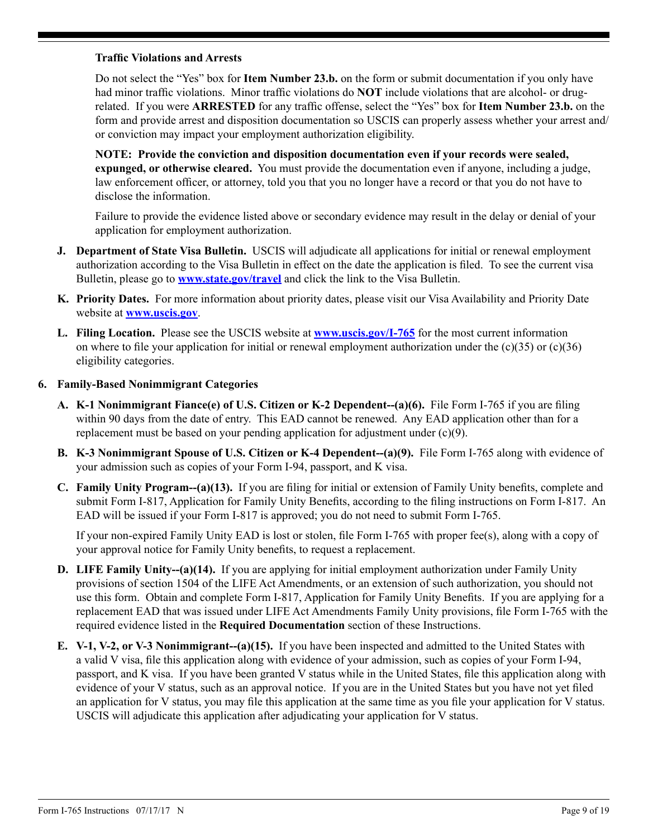### **Traffic Violations and Arrests**

Do not select the "Yes" box for **Item Number 23.b.** on the form or submit documentation if you only have had minor traffic violations. Minor traffic violations do **NOT** include violations that are alcohol- or drugrelated. If you were **ARRESTED** for any traffic offense, select the "Yes" box for **Item Number 23.b.** on the form and provide arrest and disposition documentation so USCIS can properly assess whether your arrest and/ or conviction may impact your employment authorization eligibility.

**NOTE: Provide the conviction and disposition documentation even if your records were sealed, expunged, or otherwise cleared.** You must provide the documentation even if anyone, including a judge, law enforcement officer, or attorney, told you that you no longer have a record or that you do not have to disclose the information.

Failure to provide the evidence listed above or secondary evidence may result in the delay or denial of your application for employment authorization.

- **J. Department of State Visa Bulletin.** USCIS will adjudicate all applications for initial or renewal employment authorization according to the Visa Bulletin in effect on the date the application is filed. To see the current visa Bulletin, please go to **www.state.gov/travel** and click the link to the Visa Bulletin.
- **K. Priority Dates.** For more information about priority dates, please visit our Visa Availability and Priority Date website at **www.uscis.gov**.
- **L. Filing Location.** Please see the USCIS website at **www.uscis.gov/I-765** for the most current information on where to file your application for initial or renewal employment authorization under the  $(c)(35)$  or  $(c)(36)$ eligibility categories.

### **6. Family-Based Nonimmigrant Categories**

- **A. K-1 Nonimmigrant Fiance(e) of U.S. Citizen or K-2 Dependent--(a)(6).** File Form I-765 if you are filing within 90 days from the date of entry. This EAD cannot be renewed. Any EAD application other than for a replacement must be based on your pending application for adjustment under (c)(9).
- **B. K-3 Nonimmigrant Spouse of U.S. Citizen or K-4 Dependent--(a)(9).** File Form I-765 along with evidence of your admission such as copies of your Form I-94, passport, and K visa.
- **C. Family Unity Program--(a)(13).** If you are filing for initial or extension of Family Unity benefits, complete and submit Form I-817, Application for Family Unity Benefits, according to the filing instructions on Form I-817. An EAD will be issued if your Form I-817 is approved; you do not need to submit Form I-765.

If your non-expired Family Unity EAD is lost or stolen, file Form I-765 with proper fee(s), along with a copy of your approval notice for Family Unity benefits, to request a replacement.

- **D. LIFE Family Unity--(a)(14).** If you are applying for initial employment authorization under Family Unity provisions of section 1504 of the LIFE Act Amendments, or an extension of such authorization, you should not use this form. Obtain and complete Form I-817, Application for Family Unity Benefits. If you are applying for a replacement EAD that was issued under LIFE Act Amendments Family Unity provisions, file Form I-765 with the required evidence listed in the **Required Documentation** section of these Instructions.
- **E. V-1, V-2, or V-3 Nonimmigrant-(a)(15).** If you have been inspected and admitted to the United States with a valid V visa, file this application along with evidence of your admission, such as copies of your Form I-94, passport, and K visa. If you have been granted V status while in the United States, file this application along with evidence of your V status, such as an approval notice. If you are in the United States but you have not yet filed an application for V status, you may file this application at the same time as you file your application for V status. USCIS will adjudicate this application after adjudicating your application for V status.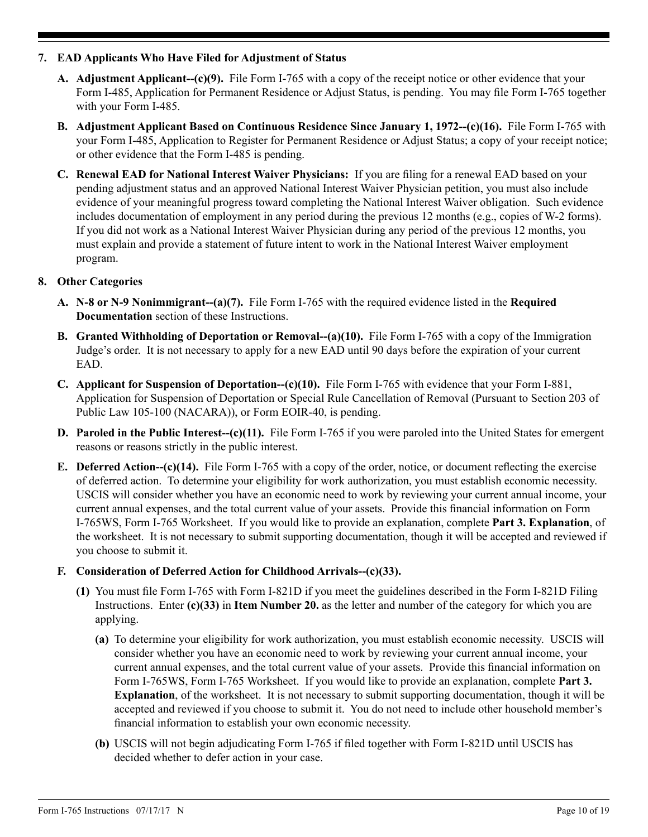## **7. EAD Applicants Who Have Filed for Adjustment of Status**

- **A. Adjustment Applicant--(c)(9).** File Form I-765 with a copy of the receipt notice or other evidence that your Form I-485, Application for Permanent Residence or Adjust Status, is pending. You may file Form I-765 together with your Form I-485.
- **B. Adjustment Applicant Based on Continuous Residence Since January 1, 1972--(c)(16).** File Form I-765 with your Form I-485, Application to Register for Permanent Residence or Adjust Status; a copy of your receipt notice; or other evidence that the Form I-485 is pending.
- **C. Renewal EAD for National Interest Waiver Physicians:** If you are filing for a renewal EAD based on your pending adjustment status and an approved National Interest Waiver Physician petition, you must also include evidence of your meaningful progress toward completing the National Interest Waiver obligation. Such evidence includes documentation of employment in any period during the previous 12 months (e.g., copies of W-2 forms). If you did not work as a National Interest Waiver Physician during any period of the previous 12 months, you must explain and provide a statement of future intent to work in the National Interest Waiver employment program.

## **8. Other Categories**

- **A. N-8 or N-9 Nonimmigrant--(a)(7).** File Form I-765 with the required evidence listed in the **Required Documentation** section of these Instructions.
- **B. Granted Withholding of Deportation or Removal--(a)(10).** File Form I-765 with a copy of the Immigration Judge's order. It is not necessary to apply for a new EAD until 90 days before the expiration of your current EAD.
- **C. Applicant for Suspension of Deportation--(c)(10).** File Form I-765 with evidence that your Form I-881, Application for Suspension of Deportation or Special Rule Cancellation of Removal (Pursuant to Section 203 of Public Law 105-100 (NACARA)), or Form EOIR-40, is pending.
- **D.** Paroled in the Public Interest--(c)(11). File Form I-765 if you were paroled into the United States for emergent reasons or reasons strictly in the public interest.
- **E. Deferred Action--(c)(14).** File Form I-765 with a copy of the order, notice, or document reflecting the exercise of deferred action. To determine your eligibility for work authorization, you must establish economic necessity. USCIS will consider whether you have an economic need to work by reviewing your current annual income, your current annual expenses, and the total current value of your assets. Provide this financial information on Form I-765WS, Form I-765 Worksheet. If you would like to provide an explanation, complete **Part 3. Explanation**, of the worksheet. It is not necessary to submit supporting documentation, though it will be accepted and reviewed if you choose to submit it.

### **F. Consideration of Deferred Action for Childhood Arrivals--(c)(33).**

- **(1)** You must file Form I-765 with Form I-821D if you meet the guidelines described in the Form I-821D Filing Instructions. Enter **(c)(33)** in **Item Number 20.** as the letter and number of the category for which you are applying.
	- **(a)** To determine your eligibility for work authorization, you must establish economic necessity. USCIS will consider whether you have an economic need to work by reviewing your current annual income, your current annual expenses, and the total current value of your assets. Provide this financial information on Form I-765WS, Form I-765 Worksheet. If you would like to provide an explanation, complete **Part 3. Explanation**, of the worksheet. It is not necessary to submit supporting documentation, though it will be accepted and reviewed if you choose to submit it. You do not need to include other household member's financial information to establish your own economic necessity.
	- **(b)** USCIS will not begin adjudicating Form I-765 if filed together with Form I-821D until USCIS has decided whether to defer action in your case.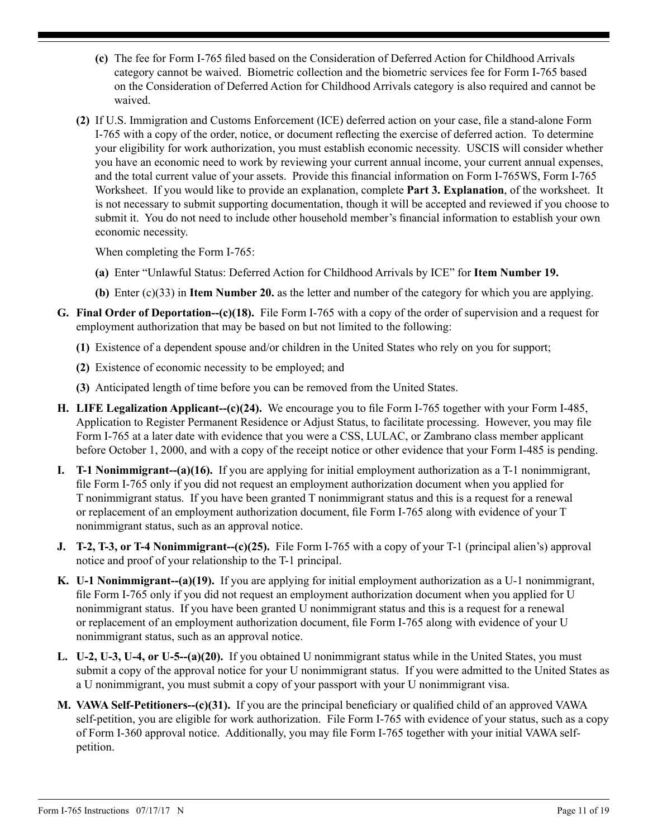- **(c)** The fee for Form I-765 filed based on the Consideration of Deferred Action for Childhood Arrivals category cannot be waived. Biometric collection and the biometric services fee for Form I-765 based on the Consideration of Deferred Action for Childhood Arrivals category is also required and cannot be waived.
- **(2)** If U.S. Immigration and Customs Enforcement (ICE) deferred action on your case, file a stand-alone Form I-765 with a copy of the order, notice, or document reflecting the exercise of deferred action. To determine your eligibility for work authorization, you must establish economic necessity. USCIS will consider whether you have an economic need to work by reviewing your current annual income, your current annual expenses, and the total current value of your assets. Provide this financial information on Form I-765WS, Form I-765 Worksheet. If you would like to provide an explanation, complete **Part 3. Explanation**, of the worksheet. It is not necessary to submit supporting documentation, though it will be accepted and reviewed if you choose to submit it. You do not need to include other household member's financial information to establish your own economic necessity.

When completing the Form I-765:

- **(a)** Enter "Unlawful Status: Deferred Action for Childhood Arrivals by ICE" for **Item Number 19.**
- **(b)** Enter (c)(33) in **Item Number 20.** as the letter and number of the category for which you are applying.
- **G. Final Order of Deportation--(c)(18).** File Form I-765 with a copy of the order of supervision and a request for employment authorization that may be based on but not limited to the following:
	- **(1)** Existence of a dependent spouse and/or children in the United States who rely on you for support;
	- **(2)** Existence of economic necessity to be employed; and
	- **(3)** Anticipated length of time before you can be removed from the United States.
- **H. LIFE Legalization Applicant--(c)(24).** We encourage you to file Form I-765 together with your Form I-485, Application to Register Permanent Residence or Adjust Status, to facilitate processing. However, you may file Form I-765 at a later date with evidence that you were a CSS, LULAC, or Zambrano class member applicant before October 1, 2000, and with a copy of the receipt notice or other evidence that your Form I-485 is pending.
- **I. T-1 Nonimmigrant--(a)(16).** If you are applying for initial employment authorization as a T-1 nonimmigrant, file Form I-765 only if you did not request an employment authorization document when you applied for T nonimmigrant status. If you have been granted T nonimmigrant status and this is a request for a renewal or replacement of an employment authorization document, file Form I-765 along with evidence of your T nonimmigrant status, such as an approval notice.
- **J. T-2, T-3, or T-4 Nonimmigrant--(c)(25).** File Form I-765 with a copy of your T-1 (principal alien's) approval notice and proof of your relationship to the T-1 principal.
- **K. U-1 Nonimmigrant--(a)(19).** If you are applying for initial employment authorization as a U-1 nonimmigrant, file Form I-765 only if you did not request an employment authorization document when you applied for U nonimmigrant status. If you have been granted U nonimmigrant status and this is a request for a renewal or replacement of an employment authorization document, file Form I-765 along with evidence of your U nonimmigrant status, such as an approval notice.
- **L. U-2, U-3, U-4, or U-5--(a)(20).** If you obtained U nonimmigrant status while in the United States, you must submit a copy of the approval notice for your U nonimmigrant status. If you were admitted to the United States as a U nonimmigrant, you must submit a copy of your passport with your U nonimmigrant visa.
- **M. VAWA Self-Petitioners--(c)(31).** If you are the principal beneficiary or qualified child of an approved VAWA self-petition, you are eligible for work authorization. File Form I-765 with evidence of your status, such as a copy of Form I-360 approval notice. Additionally, you may file Form I-765 together with your initial VAWA selfpetition.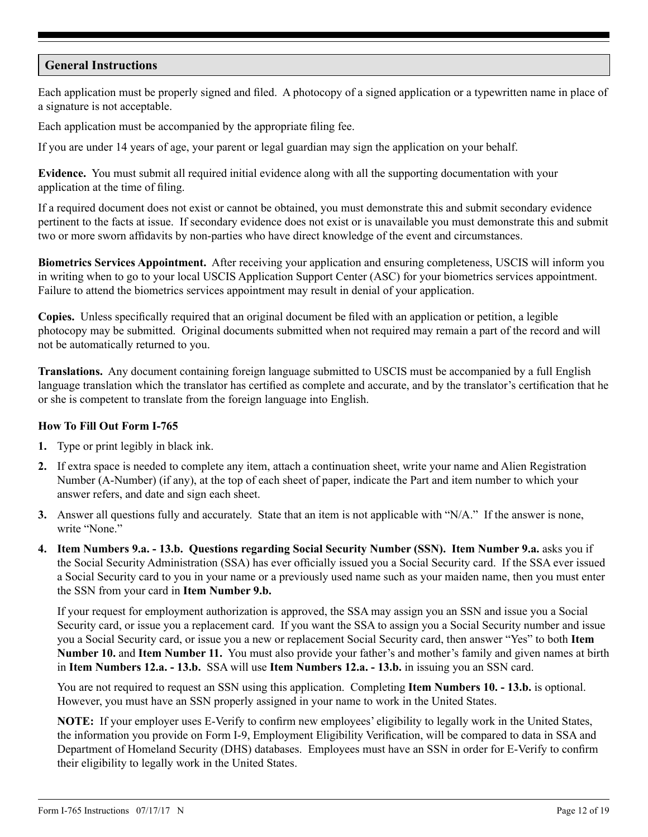## **General Instructions**

Each application must be properly signed and filed. A photocopy of a signed application or a typewritten name in place of a signature is not acceptable.

Each application must be accompanied by the appropriate filing fee.

If you are under 14 years of age, your parent or legal guardian may sign the application on your behalf.

**Evidence.** You must submit all required initial evidence along with all the supporting documentation with your application at the time of filing.

If a required document does not exist or cannot be obtained, you must demonstrate this and submit secondary evidence pertinent to the facts at issue. If secondary evidence does not exist or is unavailable you must demonstrate this and submit two or more sworn affidavits by non-parties who have direct knowledge of the event and circumstances.

**Biometrics Services Appointment.** After receiving your application and ensuring completeness, USCIS will inform you in writing when to go to your local USCIS Application Support Center (ASC) for your biometrics services appointment. Failure to attend the biometrics services appointment may result in denial of your application.

**Copies.** Unless specifically required that an original document be filed with an application or petition, a legible photocopy may be submitted. Original documents submitted when not required may remain a part of the record and will not be automatically returned to you.

**Translations.** Any document containing foreign language submitted to USCIS must be accompanied by a full English language translation which the translator has certified as complete and accurate, and by the translator's certification that he or she is competent to translate from the foreign language into English.

### **How To Fill Out Form I-765**

- **1.** Type or print legibly in black ink.
- **2.** If extra space is needed to complete any item, attach a continuation sheet, write your name and Alien Registration Number (A-Number) (if any), at the top of each sheet of paper, indicate the Part and item number to which your answer refers, and date and sign each sheet.
- **3.** Answer all questions fully and accurately. State that an item is not applicable with "N/A." If the answer is none, write "None"
- **4. Item Numbers 9.a. 13.b. Questions regarding Social Security Number (SSN). Item Number 9.a.** asks you if the Social Security Administration (SSA) has ever officially issued you a Social Security card. If the SSA ever issued a Social Security card to you in your name or a previously used name such as your maiden name, then you must enter the SSN from your card in **Item Number 9.b.**

If your request for employment authorization is approved, the SSA may assign you an SSN and issue you a Social Security card, or issue you a replacement card. If you want the SSA to assign you a Social Security number and issue you a Social Security card, or issue you a new or replacement Social Security card, then answer "Yes" to both **Item Number 10.** and **Item Number 11.** You must also provide your father's and mother's family and given names at birth in **Item Numbers 12.a. - 13.b.** SSA will use **Item Numbers 12.a. - 13.b.** in issuing you an SSN card.

You are not required to request an SSN using this application. Completing **Item Numbers 10. - 13.b.** is optional. However, you must have an SSN properly assigned in your name to work in the United States.

**NOTE:** If your employer uses E-Verify to confirm new employees' eligibility to legally work in the United States, the information you provide on Form I-9, Employment Eligibility Verification, will be compared to data in SSA and Department of Homeland Security (DHS) databases. Employees must have an SSN in order for E-Verify to confirm their eligibility to legally work in the United States.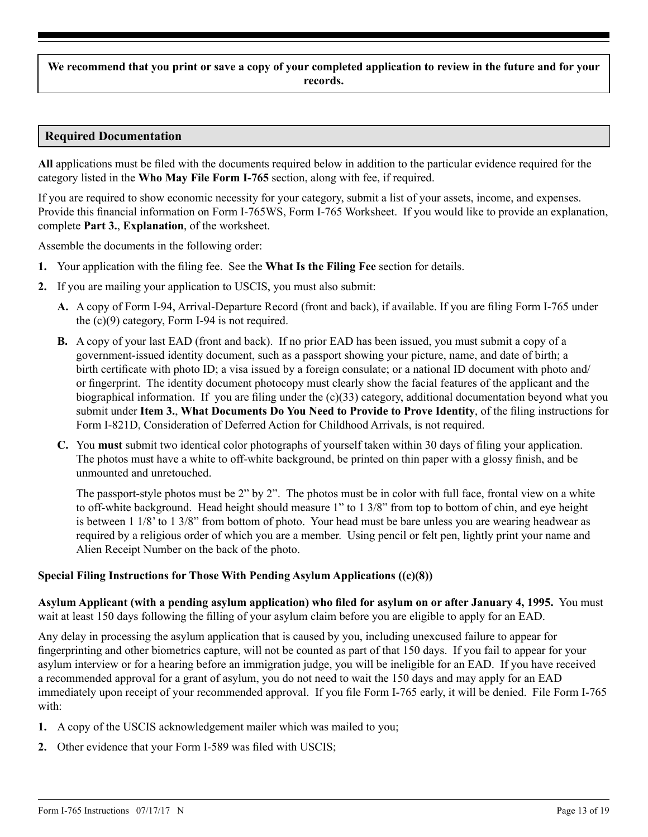**We recommend that you print or save a copy of your completed application to review in the future and for your records.**

## **Required Documentation**

**All** applications must be filed with the documents required below in addition to the particular evidence required for the category listed in the **Who May File Form I-765** section, along with fee, if required.

If you are required to show economic necessity for your category, submit a list of your assets, income, and expenses. Provide this financial information on Form I-765WS, Form I-765 Worksheet. If you would like to provide an explanation, complete **Part 3.**, **Explanation**, of the worksheet.

Assemble the documents in the following order:

- **1.** Your application with the filing fee. See the **What Is the Filing Fee** section for details.
- **2.** If you are mailing your application to USCIS, you must also submit:
	- **A.** A copy of Form I-94, Arrival-Departure Record (front and back), if available. If you are filing Form I-765 under the (c)(9) category, Form I-94 is not required.
	- **B.** A copy of your last EAD (front and back). If no prior EAD has been issued, you must submit a copy of a government-issued identity document, such as a passport showing your picture, name, and date of birth; a birth certificate with photo ID; a visa issued by a foreign consulate; or a national ID document with photo and/ or fingerprint. The identity document photocopy must clearly show the facial features of the applicant and the biographical information. If you are filing under the (c)(33) category, additional documentation beyond what you submit under **Item 3.**, **What Documents Do You Need to Provide to Prove Identity**, of the filing instructions for Form I-821D, Consideration of Deferred Action for Childhood Arrivals, is not required.
	- **C.** You **must** submit two identical color photographs of yourself taken within 30 days of filing your application. The photos must have a white to off-white background, be printed on thin paper with a glossy finish, and be unmounted and unretouched.

The passport-style photos must be 2" by 2". The photos must be in color with full face, frontal view on a white to off-white background. Head height should measure 1" to 1 3/8" from top to bottom of chin, and eye height is between 1 1/8' to 1 3/8" from bottom of photo. Your head must be bare unless you are wearing headwear as required by a religious order of which you are a member. Using pencil or felt pen, lightly print your name and Alien Receipt Number on the back of the photo.

### **Special Filing Instructions for Those With Pending Asylum Applications ((c)(8))**

**Asylum Applicant (with a pending asylum application) who filed for asylum on or after January 4, 1995.** You must wait at least 150 days following the filling of your asylum claim before you are eligible to apply for an EAD.

Any delay in processing the asylum application that is caused by you, including unexcused failure to appear for fingerprinting and other biometrics capture, will not be counted as part of that 150 days. If you fail to appear for your asylum interview or for a hearing before an immigration judge, you will be ineligible for an EAD. If you have received a recommended approval for a grant of asylum, you do not need to wait the 150 days and may apply for an EAD immediately upon receipt of your recommended approval. If you file Form I-765 early, it will be denied. File Form I-765 with:

- **1.** A copy of the USCIS acknowledgement mailer which was mailed to you;
- **2.** Other evidence that your Form I-589 was filed with USCIS;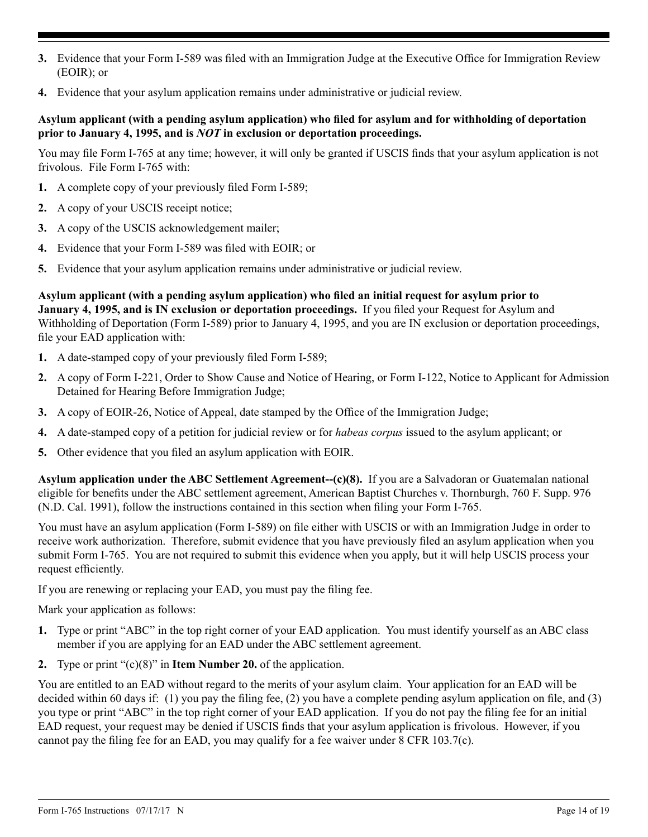- **3.** Evidence that your Form I-589 was filed with an Immigration Judge at the Executive Office for Immigration Review (EOIR); or
- **4.** Evidence that your asylum application remains under administrative or judicial review.

## **Asylum applicant (with a pending asylum application) who filed for asylum and for withholding of deportation prior to January 4, 1995, and is** *NOT* **in exclusion or deportation proceedings.**

You may file Form I-765 at any time; however, it will only be granted if USCIS finds that your asylum application is not frivolous. File Form I-765 with:

- **1.** A complete copy of your previously filed Form I-589;
- **2.** A copy of your USCIS receipt notice;
- **3.** A copy of the USCIS acknowledgement mailer;
- **4.** Evidence that your Form I-589 was filed with EOIR; or
- **5.** Evidence that your asylum application remains under administrative or judicial review.

**Asylum applicant (with a pending asylum application) who filed an initial request for asylum prior to January 4, 1995, and is IN exclusion or deportation proceedings.** If you filed your Request for Asylum and Withholding of Deportation (Form I-589) prior to January 4, 1995, and you are IN exclusion or deportation proceedings, file your EAD application with:

- **1.** A date-stamped copy of your previously filed Form I-589;
- **2.** A copy of Form I-221, Order to Show Cause and Notice of Hearing, or Form I-122, Notice to Applicant for Admission Detained for Hearing Before Immigration Judge;
- **3.** A copy of EOIR-26, Notice of Appeal, date stamped by the Office of the Immigration Judge;
- **4.** A date-stamped copy of a petition for judicial review or for *habeas corpus* issued to the asylum applicant; or
- **5.** Other evidence that you filed an asylum application with EOIR.

**Asylum application under the ABC Settlement Agreement--(c)(8).** If you are a Salvadoran or Guatemalan national eligible for benefits under the ABC settlement agreement, American Baptist Churches v. Thornburgh, 760 F. Supp. 976 (N.D. Cal. 1991), follow the instructions contained in this section when filing your Form I-765.

You must have an asylum application (Form I-589) on file either with USCIS or with an Immigration Judge in order to receive work authorization. Therefore, submit evidence that you have previously filed an asylum application when you submit Form I-765. You are not required to submit this evidence when you apply, but it will help USCIS process your request efficiently.

If you are renewing or replacing your EAD, you must pay the filing fee.

Mark your application as follows:

- **1.** Type or print "ABC" in the top right corner of your EAD application. You must identify yourself as an ABC class member if you are applying for an EAD under the ABC settlement agreement.
- **2.** Type or print "(c)(8)" in **Item Number 20.** of the application.

You are entitled to an EAD without regard to the merits of your asylum claim. Your application for an EAD will be decided within 60 days if: (1) you pay the filing fee, (2) you have a complete pending asylum application on file, and (3) you type or print "ABC" in the top right corner of your EAD application. If you do not pay the filing fee for an initial EAD request, your request may be denied if USCIS finds that your asylum application is frivolous. However, if you cannot pay the filing fee for an EAD, you may qualify for a fee waiver under 8 CFR 103.7(c).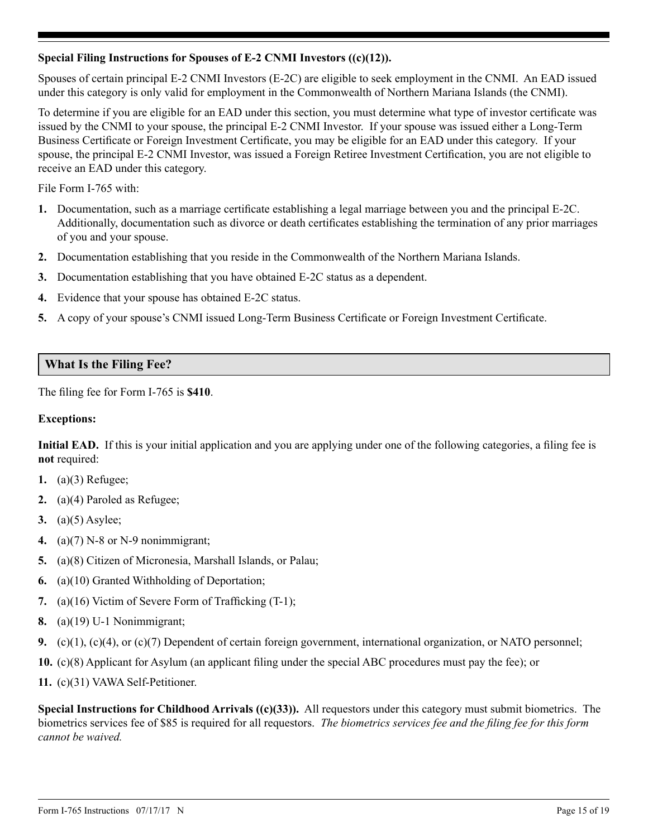## **Special Filing Instructions for Spouses of E-2 CNMI Investors ((c)(12)).**

Spouses of certain principal E-2 CNMI Investors (E-2C) are eligible to seek employment in the CNMI. An EAD issued under this category is only valid for employment in the Commonwealth of Northern Mariana Islands (the CNMI).

To determine if you are eligible for an EAD under this section, you must determine what type of investor certificate was issued by the CNMI to your spouse, the principal E-2 CNMI Investor. If your spouse was issued either a Long-Term Business Certificate or Foreign Investment Certificate, you may be eligible for an EAD under this category. If your spouse, the principal E-2 CNMI Investor, was issued a Foreign Retiree Investment Certification, you are not eligible to receive an EAD under this category.

File Form I-765 with:

- **1.** Documentation, such as a marriage certificate establishing a legal marriage between you and the principal E-2C. Additionally, documentation such as divorce or death certificates establishing the termination of any prior marriages of you and your spouse.
- **2.** Documentation establishing that you reside in the Commonwealth of the Northern Mariana Islands.
- **3.** Documentation establishing that you have obtained E-2C status as a dependent.
- **4.** Evidence that your spouse has obtained E-2C status.
- **5.** A copy of your spouse's CNMI issued Long-Term Business Certificate or Foreign Investment Certificate.

# **What Is the Filing Fee?**

The filing fee for Form I-765 is **\$410**.

### **Exceptions:**

**Initial EAD.** If this is your initial application and you are applying under one of the following categories, a filing fee is **not** required:

- **1.** (a)(3) Refugee;
- **2.** (a)(4) Paroled as Refugee;
- **3.** (a)(5) Asylee;
- **4.** (a)(7) N-8 or N-9 nonimmigrant;
- **5.** (a)(8) Citizen of Micronesia, Marshall Islands, or Palau;
- **6.** (a)(10) Granted Withholding of Deportation;
- **7.** (a)(16) Victim of Severe Form of Trafficking (T-1);
- **8.** (a)(19) U-1 Nonimmigrant;
- **9.** (c)(1), (c)(4), or (c)(7) Dependent of certain foreign government, international organization, or NATO personnel;
- **10.** (c)(8) Applicant for Asylum (an applicant filing under the special ABC procedures must pay the fee); or
- **11.** (c)(31) VAWA Self-Petitioner.

**Special Instructions for Childhood Arrivals ((c)(33)).** All requestors under this category must submit biometrics. The biometrics services fee of \$85 is required for all requestors. *The biometrics services fee and the filing fee for this form cannot be waived.*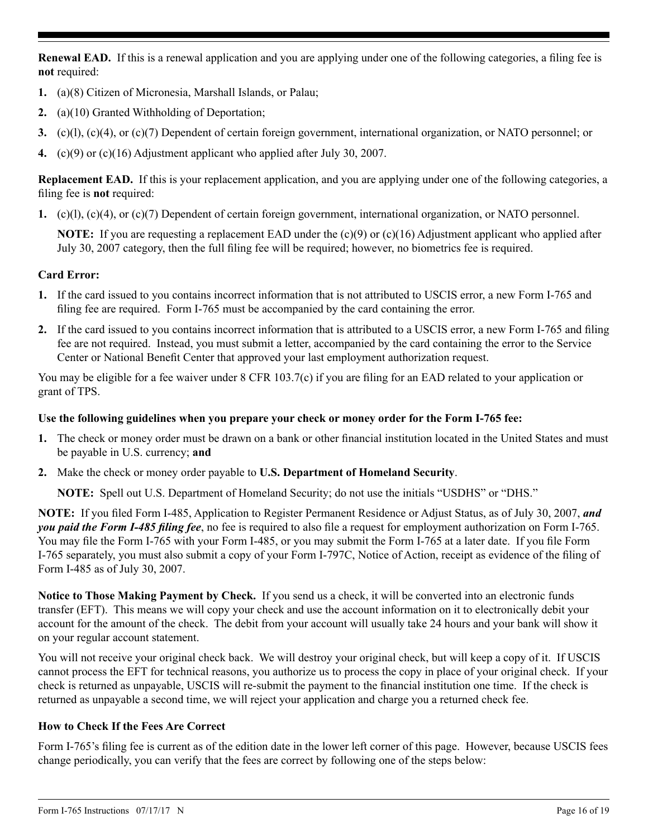**Renewal EAD.** If this is a renewal application and you are applying under one of the following categories, a filing fee is **not** required:

- **1.** (a)(8) Citizen of Micronesia, Marshall Islands, or Palau;
- **2.** (a)(10) Granted Withholding of Deportation;
- **3.** (c)(l), (c)(4), or (c)(7) Dependent of certain foreign government, international organization, or NATO personnel; or
- **4.** (c)(9) or (c)(16) Adjustment applicant who applied after July 30, 2007.

**Replacement EAD.** If this is your replacement application, and you are applying under one of the following categories, a filing fee is **not** required:

**1.** (c)(l), (c)(4), or (c)(7) Dependent of certain foreign government, international organization, or NATO personnel.

**NOTE:** If you are requesting a replacement EAD under the (c)(9) or (c)(16) Adjustment applicant who applied after July 30, 2007 category, then the full filing fee will be required; however, no biometrics fee is required.

## **Card Error:**

- **1.** If the card issued to you contains incorrect information that is not attributed to USCIS error, a new Form I-765 and filing fee are required. Form I-765 must be accompanied by the card containing the error.
- **2.** If the card issued to you contains incorrect information that is attributed to a USCIS error, a new Form I-765 and filing fee are not required. Instead, you must submit a letter, accompanied by the card containing the error to the Service Center or National Benefit Center that approved your last employment authorization request.

You may be eligible for a fee waiver under 8 CFR 103.7(c) if you are filing for an EAD related to your application or grant of TPS.

## **Use the following guidelines when you prepare your check or money order for the Form I-765 fee:**

- **1.** The check or money order must be drawn on a bank or other financial institution located in the United States and must be payable in U.S. currency; **and**
- **2.** Make the check or money order payable to **U.S. Department of Homeland Security**.

**NOTE:** Spell out U.S. Department of Homeland Security; do not use the initials "USDHS" or "DHS."

**NOTE:** If you filed Form I-485, Application to Register Permanent Residence or Adjust Status, as of July 30, 2007, *and you paid the Form I-485 filing fee*, no fee is required to also file a request for employment authorization on Form I-765. You may file the Form I-765 with your Form I-485, or you may submit the Form I-765 at a later date. If you file Form I-765 separately, you must also submit a copy of your Form I-797C, Notice of Action, receipt as evidence of the filing of Form I-485 as of July 30, 2007.

**Notice to Those Making Payment by Check.** If you send us a check, it will be converted into an electronic funds transfer (EFT). This means we will copy your check and use the account information on it to electronically debit your account for the amount of the check. The debit from your account will usually take 24 hours and your bank will show it on your regular account statement.

You will not receive your original check back. We will destroy your original check, but will keep a copy of it. If USCIS cannot process the EFT for technical reasons, you authorize us to process the copy in place of your original check. If your check is returned as unpayable, USCIS will re-submit the payment to the financial institution one time. If the check is returned as unpayable a second time, we will reject your application and charge you a returned check fee.

## **How to Check If the Fees Are Correct**

Form I-765's filing fee is current as of the edition date in the lower left corner of this page. However, because USCIS fees change periodically, you can verify that the fees are correct by following one of the steps below: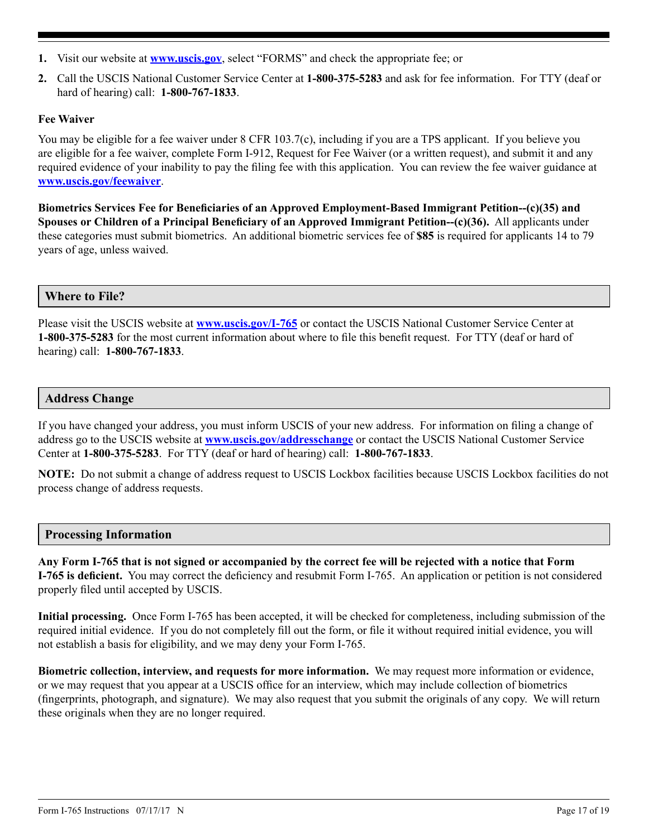- **1.** Visit our website at **www.uscis.gov**, select "FORMS" and check the appropriate fee; or
- **2.** Call the USCIS National Customer Service Center at **1-800-375-5283** and ask for fee information. For TTY (deaf or hard of hearing) call: **1-800-767-1833**.

## **Fee Waiver**

You may be eligible for a fee waiver under 8 CFR 103.7(c), including if you are a TPS applicant. If you believe you are eligible for a fee waiver, complete Form I-912, Request for Fee Waiver (or a written request), and submit it and any required evidence of your inability to pay the filing fee with this application. You can review the fee waiver guidance at **www.uscis.gov/feewaiver**.

**Biometrics Services Fee for Beneficiaries of an Approved Employment-Based Immigrant Petition--(c)(35) and Spouses or Children of a Principal Beneficiary of an Approved Immigrant Petition--(c)(36).** All applicants under these categories must submit biometrics. An additional biometric services fee of **\$85** is required for applicants 14 to 79 years of age, unless waived.

## **Where to File?**

Please visit the USCIS website at **www.uscis.gov/I-765** or contact the USCIS National Customer Service Center at **1-800-375-5283** for the most current information about where to file this benefit request. For TTY (deaf or hard of hearing) call: **1-800-767-1833**.

### **Address Change**

If you have changed your address, you must inform USCIS of your new address. For information on filing a change of address go to the USCIS website at **www.uscis.gov/addresschange** or contact the USCIS National Customer Service Center at **1-800-375-5283**. For TTY (deaf or hard of hearing) call: **1-800-767-1833**.

**NOTE:** Do not submit a change of address request to USCIS Lockbox facilities because USCIS Lockbox facilities do not process change of address requests.

## **Processing Information**

**Any Form I-765 that is not signed or accompanied by the correct fee will be rejected with a notice that Form I-765 is deficient.** You may correct the deficiency and resubmit Form I-765. An application or petition is not considered properly filed until accepted by USCIS.

**Initial processing.** Once Form I-765 has been accepted, it will be checked for completeness, including submission of the required initial evidence. If you do not completely fill out the form, or file it without required initial evidence, you will not establish a basis for eligibility, and we may deny your Form I-765.

**Biometric collection, interview, and requests for more information.** We may request more information or evidence, or we may request that you appear at a USCIS office for an interview, which may include collection of biometrics (fingerprints, photograph, and signature). We may also request that you submit the originals of any copy. We will return these originals when they are no longer required.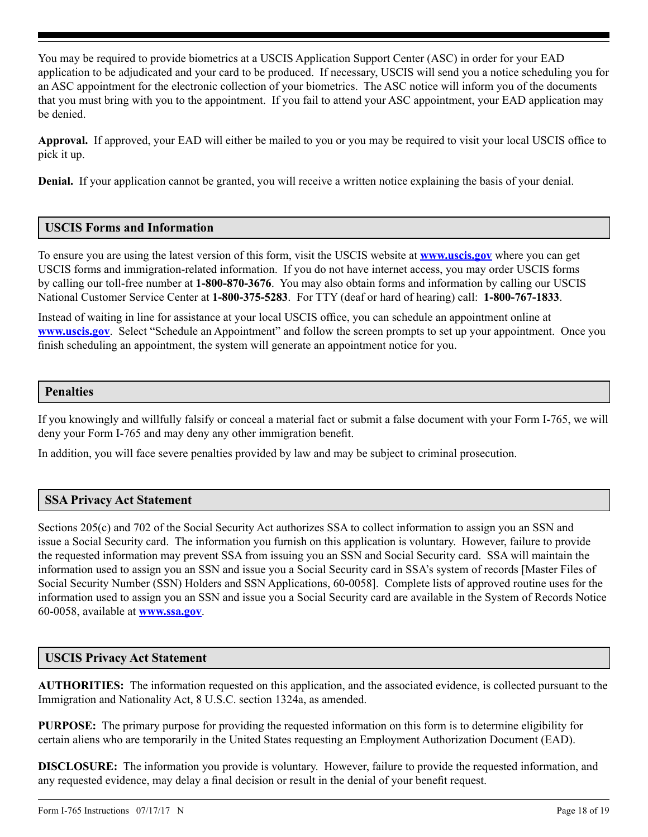You may be required to provide biometrics at a USCIS Application Support Center (ASC) in order for your EAD application to be adjudicated and your card to be produced. If necessary, USCIS will send you a notice scheduling you for an ASC appointment for the electronic collection of your biometrics. The ASC notice will inform you of the documents that you must bring with you to the appointment. If you fail to attend your ASC appointment, your EAD application may be denied.

**Approval.** If approved, your EAD will either be mailed to you or you may be required to visit your local USCIS office to pick it up.

**Denial.** If your application cannot be granted, you will receive a written notice explaining the basis of your denial.

## **USCIS Forms and Information**

To ensure you are using the latest version of this form, visit the USCIS website at **www.uscis.gov** where you can get USCIS forms and immigration-related information. If you do not have internet access, you may order USCIS forms by calling our toll-free number at **1-800-870-3676**. You may also obtain forms and information by calling our USCIS National Customer Service Center at **1-800-375-5283**. For TTY (deaf or hard of hearing) call: **1-800-767-1833**.

Instead of waiting in line for assistance at your local USCIS office, you can schedule an appointment online at **www.uscis.gov**. Select "Schedule an Appointment" and follow the screen prompts to set up your appointment. Once you finish scheduling an appointment, the system will generate an appointment notice for you.

### **Penalties**

If you knowingly and willfully falsify or conceal a material fact or submit a false document with your Form I-765, we will deny your Form I-765 and may deny any other immigration benefit.

In addition, you will face severe penalties provided by law and may be subject to criminal prosecution.

## **SSA Privacy Act Statement**

Sections 205(c) and 702 of the Social Security Act authorizes SSA to collect information to assign you an SSN and issue a Social Security card. The information you furnish on this application is voluntary. However, failure to provide the requested information may prevent SSA from issuing you an SSN and Social Security card. SSA will maintain the information used to assign you an SSN and issue you a Social Security card in SSA's system of records [Master Files of Social Security Number (SSN) Holders and SSN Applications, 60-0058]. Complete lists of approved routine uses for the information used to assign you an SSN and issue you a Social Security card are available in the System of Records Notice 60-0058, available at **www.ssa.gov**.

### **USCIS Privacy Act Statement**

**AUTHORITIES:** The information requested on this application, and the associated evidence, is collected pursuant to the Immigration and Nationality Act, 8 U.S.C. section 1324a, as amended.

**PURPOSE:** The primary purpose for providing the requested information on this form is to determine eligibility for certain aliens who are temporarily in the United States requesting an Employment Authorization Document (EAD).

**DISCLOSURE:** The information you provide is voluntary. However, failure to provide the requested information, and any requested evidence, may delay a final decision or result in the denial of your benefit request.